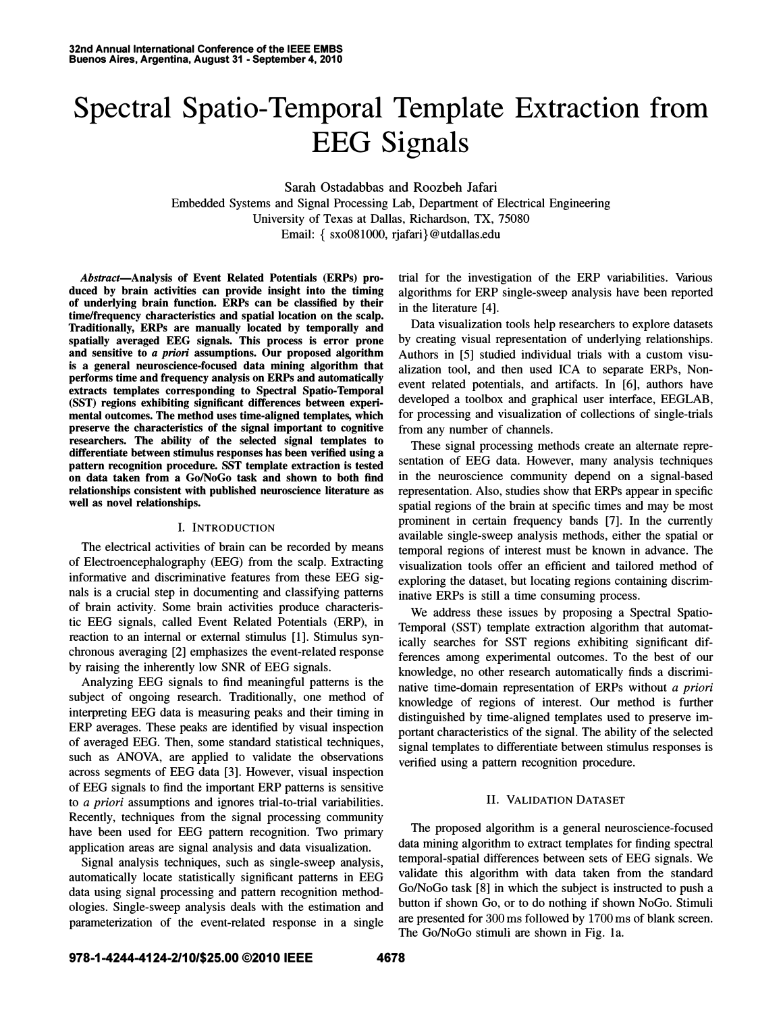# Spectral Spatio-Temporal Template Extraction from EEG Signals

Sarah Ostadabbas and Roozbeh Jafari Embedded Systems and Signal Processing Lab, Department of Electrical Engineering University of Texas at Dallas, Richardson, TX, 75080 Email: { sxo081000, rjafari} @utdallas.edu

Abstract-Analysis of Event Related Potentials (ERPs) produced by brain activities can provide insight into the timing of underlying brain function. ERPs can be classified by their time/frequency characteristics and spatial location on the scalp. Traditionally, ERPs are manually located by temporally and spatially averaged EEG signals. This process is error prone and sensitive to a priori assumptions. Our proposed algorithm is a general neuroscience-focused data mining algorithm that performs time and frequency analysis on ERPs and automatically extracts templates corresponding to Spectral Spatio-Temporal (SST) regions exhibiting significant differences between experimental outcomes. The method uses time-aligned templates, which preserve the characteristics of the signal important to cognitive researchers. The ability of the selected signal templates to differentiate between stimulus responses has been verified using a pattern recognition procedure. SST template extraction is tested on data taken from a Go/NoGo task and shown to both find relationships consistent with published neuroscience literature as well as novel relationships.

## I. INTRODUCTION

The electrical activities of brain can be recorded by means of Electroencephalography (EEG) from the scalp. Extracting informative and discriminative features from these EEG signals is a crucial step in documenting and classifying patterns of brain activity. Some brain activities produce characteristic EEG signals, called Event Related Potentials (ERP), in reaction to an internal or external stimulus [1]. Stimulus synchronous averaging [2] emphasizes the event-related response by raising the inherently low SNR of EEG signals.

Analyzing EEG signals to find meaningful patterns is the subject of ongoing research. Traditionally, one method of interpreting EEG data is measuring peaks and their timing in ERP averages. These peaks are identified by visual inspection of averaged EEG. Then, some standard statistical techniques, such as ANOVA, are applied to validate the observations across segments of EEG data [3]. However, visual inspection of EEG signals to find the important ERP patterns is sensitive to a priori assumptions and ignores trial-to-trial variabilities. Recently, techniques from the signal processing community have been used for EEG pattern recognition. Two primary application areas are signal analysis and data visualization.

Signal analysis techniques, such as single-sweep analysis, automatically locate statistically significant patterns in EEG data using signal processing and pattern recognition methodologies. Single-sweep analysis deals with the estimation and parameterization of the event-related response in a single trial for the investigation of the ERP variabilities. Various algorithms for ERP single-sweep analysis have been reported in the literature [4].

Data visualization tools help researchers to explore datasets by creating visual representation of underlying relationships. Authors in [5] studied individual trials with a custom visualization tool, and then used ICA to separate ERPs, Nonevent related potentials, and artifacts. In [6], authors have developed a toolbox and graphical user interface, EEGLAB, for processing and visualization of collections of single-trials from any number of channels.

These signal processing methods create an alternate representation of EEG data. However, many analysis techniques in the neuroscience community depend on a signal-based representation. Also, studies show that ERPs appear in specific spatial regions of the brain at specific times and may be most prominent in certain frequency bands [7]. In the currently available single-sweep analysis methods, either the spatial or temporal regions of interest must be known in advance. The visualization tools offer an efficient and tailored method of exploring the dataset, but locating regions containing discriminative ERPs is still a time consuming process.

We address these issues by proposing a Spectral Spatio-Temporal (SST) template extraction algorithm that automatically searches for SST regions exhibiting significant differences among experimental outcomes. To the best of our knowledge, no other research automatically finds a discriminative time-domain representation of ERPs without a priori knowledge of regions of interest. Our method is further distinguished by time-aligned templates used to preserve important characteristics of the signal. The ability of the selected signal templates to differentiate between stimulus responses is verified using a pattern recognition procedure.

# II. VALIDATION DATASET

The proposed algorithm is a general neuroscience-focused data mining algorithm to extract templates for finding spectral temporal-spatial differences between sets of EEG signals. We validate this algorithm with data taken from the standard Go/NoGo task [8] in which the subject is instructed to push a button if shown Go, or to do nothing if shown NoGo. Stimuli are presented for 300 ms followed by 1700 ms of blank screen. The Go/NoGo stimuli are shown in Fig. 1a.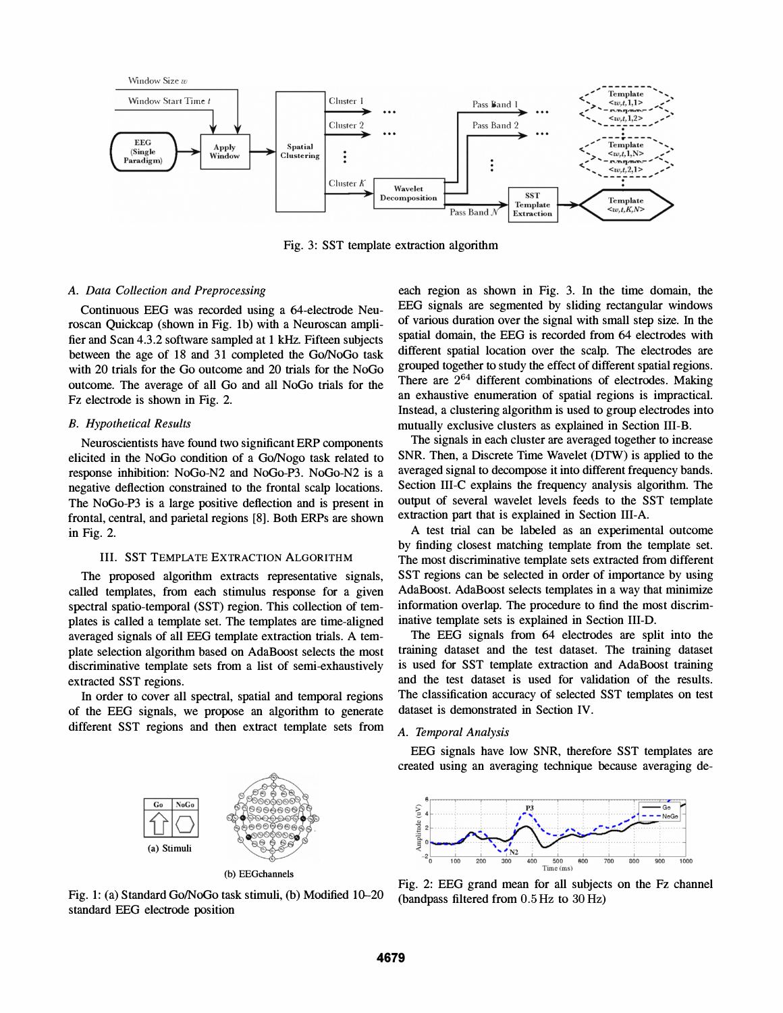

Fig. 3: SST template extraction algorithm

## A. Data Collection and Preprocessing

Continuous EEG was recorded using a 64-electrode Neuroscan Quickcap (shown in Fig. Ib) with a Neuroscan amplifier and Scan 4.3.2 software sampled at 1 kHz. Fifteen subjects between the age of 18 and 31 completed the Go/NoGo task with 20 trials for the Go outcome and 20 trials for the NoGo outcome. The average of aU Go and all NoGo trials for the Fz electrode is shown in Fig. 2.

#### B. Hypothetical Results

Neuroscientists have found two significant ERP components elicited in the NoGo condition of a Go/Nogo task related to response inhibition: NoGo-N2 and NoGo-P3. NoGo-N2 is a negative deflection constrained to the frontal scalp locations. The NoGo-P3 is a large positive deflection and is present in frontal, central, and parietal regions [8]. Both ERPs are shown in Fig. 2.

### III. SST TEMPLATE EXTRACTION ALGORITHM

The proposed algorithm extracts representative signals, called templates, from each stimulus response for a given spectral spatio-temporal (SST) region. This collection of templates is called a template set. The templates are time-aligned averaged signals of all EEG template extraction trials. A template selection algorithm based on AdaBoost selects the most discriminative template sets from a list of semi-exhaustively extracted SST regions.

In order to cover all spectral, spatial and temporal regions of the EEG signals, we propose an algorithm to generate different SST regions and then extract template sets from

each region as shown in Fig. 3. In the time domain, the EEG signals are segmented by sliding rectangular windows of various duration over the signal with small step size. In the spatial domain, the EEG is recorded from 64 electrodes with different spatial location over the scalp. The electrodes are grouped together to study the effect of different spatial regions. There are  $2^{64}$  different combinations of electrodes. Making an exhaustive enumeration of spatial regions is impractical. Instead, a clustering algorithm is used to group electrodes into mutually exclusive clusters as explained in Section III-B.

The signals in each cluster are averaged together to increase SNR. Then, a Discrete Time Wavelet (DTW) is applied to the averaged signal to decompose it into different frequency bands. Section III-C explains the frequency analysis algorithm. The output of several wavelet levels feeds to the SST template extraction part that is explained in Section III-A.

A test trial can be labeled as an experimental outcome by finding closest matching template from the template set. The most discriminative template sets extracted from different SST regions can be selected in order of importance by using AdaBoost. AdaBoost selects templates in a way that minimize information overlap. The procedure to find the most discriminative template sets is explained in Section III-D.

The EEG signals from 64 electrodes are split into the training dataset and the test dataset. The training dataset is used for SST template extraction and AdaBoost training and the test dataset is used for validation of the results. The classification accuracy of selected SST templates on test dataset is demonstrated in Section IV.

# A. Temporal Analysis

EEG signals have low SNR, therefore SST templates are created using an averaging technique because averaging de-



Fig. 1: (a) Standard Go/NoGo task stimuli, (b) Modified 10-20 standard EEG electrode position

(a) Stimuli



Fig. 2: EEG grand mean for all subjects on the Fz channel (bandpass filtered from 0.5 Hz to 30 Hz)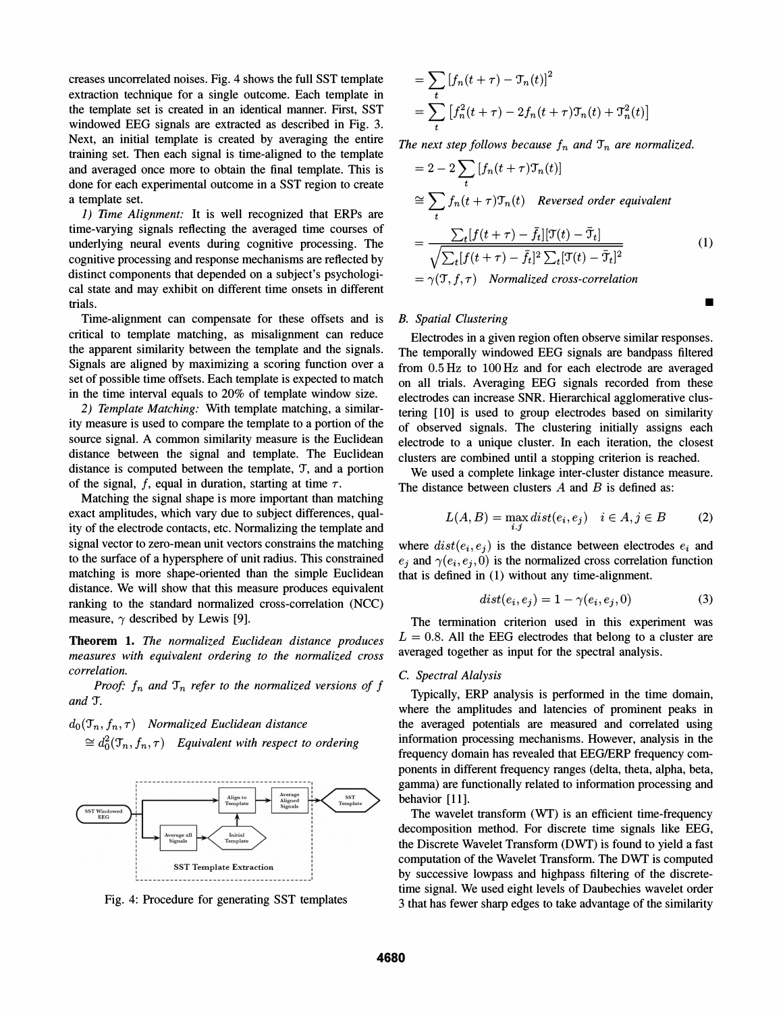creases uncorrelated noises. Fig. 4 shows the full SST template extraction technique for a single outcome. Each template in the template set is created in an identical manner. First, SST windowed EEG signals are extracted as described in Fig. 3. Next, an initial template is created by averaging the entire training set. Then each signal is time-aligned to the template and averaged once more to obtain the final template. This is done for each experimental outcome in a SST region to create a template set.

1) Time Alignment: It is well recognized that ERPs are time-varying signals reflecting the averaged time courses of underlying neural events during cognitive processing. The cognitive processing and response mechanisms are reflected by distinct components that depended on a subject's psychological state and may exhibit on different time onsets in different trials.

Time-alignment can compensate for these offsets and is critical to template matching, as misalignment can reduce the apparent similarity between the template and the signals. Signals are aligned by maximizing a scoring function over a set of possible time offsets. Each template is expected to match in the time interval equals to 20% of template window size.

2) Template Matching: With template matching, a similarity measure is used to compare the template to a portion of the source signal. A common similarity measure is the Euclidean distance between the signal and template. The Euclidean distance is computed between the template,  $\mathcal{T}$ , and a portion of the signal, f, equal in duration, starting at time  $\tau$ .

Matching the signal shape is more important than matching exact amplitudes, which vary due to subject differences, quality of the electrode contacts, etc. Normalizing the template and signal vector to zero-mean unit vectors constrains the matching to the surface of a hypersphere of unit radius. This constrained matching is more shape-oriented than the simple Euclidean distance. We will show that this measure produces equivalent ranking to the standard normalized cross-correlation (NCC) measure,  $\gamma$  described by Lewis [9].

Theorem 1. The normalized Euclidean distance produces measures with equivalent ordering to the normalized cross correlation.

Proof:  $f_n$  and  $\mathcal{T}_n$  refer to the normalized versions of f and 'I.

 $d_0(\mathcal{T}_n, f_n, \tau)$  Normalized Euclidean distance  $\cong d_0^2(\mathcal{T}_n,f_n,\tau)$  Equivalent with respect to ordering



Fig. 4: Procedure for generating SST templates

$$
= \sum_{t} [f_n(t+\tau) - \mathfrak{T}_n(t)]^2
$$
  
= 
$$
\sum_{t} [f_n^2(t+\tau) - 2f_n(t+\tau)\mathfrak{T}_n(t) + \mathfrak{T}_n^2(t)]
$$

The next step follows because  $f_n$  and  $\mathcal{T}_n$  are normalized.

$$
= 2 - 2 \sum_{t} [f_n(t + \tau) \mathcal{T}_n(t)]
$$
  
\n
$$
\approx \sum_{t} f_n(t + \tau) \mathcal{T}_n(t) \quad \text{Reversed order equivalent}
$$
  
\n
$$
= \frac{\sum_{t} [f(t + \tau) - \bar{f}_t][\mathcal{T}(t) - \bar{\mathcal{T}}_t]}{\sqrt{\sum_{t} [f(t + \tau) - \bar{f}_t]^2 \sum_{t} [\mathcal{T}(t) - \bar{\mathcal{T}}_t]^2}}
$$
  
\n
$$
= \gamma(\mathcal{T}, f, \tau) \quad \text{Normalized cross-correlation}
$$
 (1)

•

#### B. Spatial Clustering

Electrodes in a given region often observe similar responses. The temporally windowed EEG signals are bandpass filtered from 0.5 Hz to 100 Hz and for each electrode are averaged on all trials. Averaging EEG signals recorded from these electrodes can increase SNR. Hierarchical agglomerative clustering [10] is used to group electrodes based on similarity of observed signals. The clustering initially assigns each electrode to a unique cluster. In each iteration, the closest clusters are combined until a stopping criterion is reached.

We used a complete linkage inter-cluster distance measure. The distance between clusters  $A$  and  $B$  is defined as:

$$
L(A, B) = \max_{i,j} dist(e_i, e_j) \quad i \in A, j \in B \tag{2}
$$

where  $dist(e_i, e_j)$  is the distance between electrodes  $e_i$  and  $e_j$  and  $\gamma(e_i,e_j,0)$  is the normalized cross correlation function that is defined in (1) without any time-alignment.

$$
dist(e_i, e_j) = 1 - \gamma(e_i, e_j, 0)
$$
\n(3)

The termination criterion used in this experiment was  $L = 0.8$ . All the EEG electrodes that belong to a cluster are averaged together as input for the spectral analysis.

## C. Spectral Alalysis

Typically, ERP analysis is performed in the time domain, where the amplitudes and latencies of prominent peaks in the averaged potentials are measured and correlated using information processing mechanisms. However, analysis in the frequency domain has revealed that EEG/ERP frequency components in different frequency ranges (delta, theta, alpha, beta, gamma) are functionally related to information processing and behavior [11].

The wavelet transform (WT) is an efficient time-frequency decomposition method. For discrete time signals like EEG, the Discrete Wavelet Transform (DWT) is found to yield a fast computation of the Wavelet Transform. The DWT is computed by successive lowpass and highpass filtering of the discretetime signal. We used eight levels of Daubechies wavelet order 3 that has fewer sharp edges to take advantage of the similarity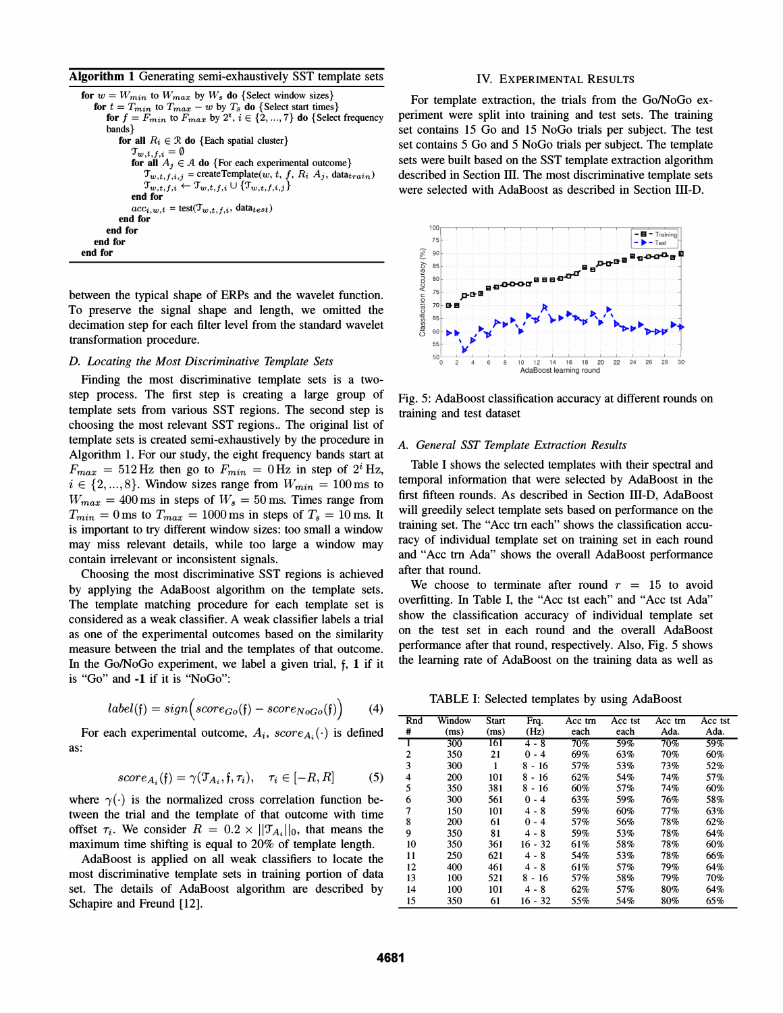Algorithm 1 Generating semi-exhaustively SST template sets

```
for w = W_{min} to W_{max} by W_s do {Select window sizes}
    for t = T_{min} to T_{max} - w by T_s do {Select start times}
        for f = F_{min} to F_{max} by 2^i, i \in \{2, ..., 7\} do {Select frequency
        bands} 
            for all R_i \in \mathcal{R} do {Each spatial cluster}
                \mathfrak{T}_{w,t,f,i} = \emptysetfor all A_j \in \mathcal{A} do {For each experimental outcome}
                    \mathcal{T}_{w,t,f,i,j} = createTemplate(w, t, f, R_i, A_j, data_{train})
                    \mathfrak{T}_{w,t,f,i} \leftarrow \mathfrak{T}_{w,t,f,i} \cup \{\mathfrak{T}_{w,t,f,i,j}\}end for 
                acc_{i,w,t} = \text{test}(\mathcal{T}_{w,t,f,i}, \text{data}_{test})end for 
        end for 
    end for 
end for
```
between the typical shape of ERPs and the wavelet function. To preserve the signal shape and length, we omitted the decimation step for each filter level from the standard wavelet transformation procedure.

## D. Locating the Most Discriminative Template Sets

Finding the most discriminative template sets is a twostep process. The first step is creating a large group of template sets from various SST regions. The second step is choosing the most relevant SST regions.. The original list of template sets is created semi-exhaustively by the procedure in Algorithm 1. For our study, the eight frequency bands start at  $F_{max} = 512$  Hz then go to  $F_{min} = 0$  Hz in step of  $2^{i}$  Hz,  $i \in \{2, ..., 8\}$ . Window sizes range from  $W_{min} = 100$  ms to  $W_{max} = 400 \,\text{ms}$  in steps of  $W_s = 50 \,\text{ms}$ . Times range from  $T_{min} = 0$  ms to  $T_{max} = 1000$  ms in steps of  $T_s = 10$  ms. It is important to try different window sizes: too small a window may miss relevant details, while too large a window may contain irrelevant or inconsistent signals.

Choosing the most discriminative SST regions is achieved by applying the AdaBoost algorithm on the template sets. The template matching procedure for each template set is considered as a weak classifier. A weak classifier labels a trial as one of the experimental outcomes based on the similarity measure between the trial and the templates of that outcome. In the Go/NoGo experiment, we label a given trial, f, 1 if it is "Go" and -1 if it is "NoGo":

$$
label(f) = sign\left(score_{Go}(f) - score_{NoGo}(f)\right) \tag{4}
$$

For each experimental outcome,  $A_i$ ,  $score_{A_i}(\cdot)$  is defined as:

$$
score_{A_i}(f) = \gamma(\mathcal{T}_{A_i}, f, \tau_i), \quad \tau_i \in [-R, R] \tag{5}
$$

where  $\gamma(\cdot)$  is the normalized cross correlation function between the trial and the template of that outcome with time offset  $\tau_i$ . We consider  $R = 0.2 \times ||\mathcal{T}_{A_i}||_0$ , that means the maximum time shifting is equal to 20% of template length.

AdaBoost is applied on all weak classifiers to locate the most discriminative template sets in training portion of data set. The details of AdaBoost algorithm are described by Schapire and Freund [12].

#### IV. EXPERIMENTAL RESULTS

For template extraction, the trials from the Go/NoGo experiment were split into training and test sets. The training set contains 15 Go and 15 NoGo trials per subject. The test set contains 5 Go and 5 NoGo trials per subject. The template sets were built based on the SST template extraction algorithm described in Section III. The most discriminative template sets were selected with AdaBoost as described in Section III-D.



Fig. 5: AdaBoost classification accuracy at different rounds on training and test dataset

#### A. General SST Template Extraction Results

Table I shows the selected templates with their spectral and temporal information that were selected by AdaBoost in the first fifteen rounds. As described in Section III-D, AdaBoost will greedily select template sets based on performance on the training set. The "Acc trn each" shows the classification accuracy of individual template set on training set in each round and "Acc trn Ada" shows the overall AdaBoost performance after that round.

We choose to terminate after round  $r = 15$  to avoid overfitting. In Table I, the "Acc tst each" and "Acc tst Ada" show the classification accuracy of individual template set on the test set in each round and the overall AdaBoost performance after that round, respectively. Also, Fig. 5 shows the learning rate of AdaBoost on the training data as well as

TABLE I: Selected templates by using AdaBoost

| Rnd | Window | <b>Start</b> | Frq.      | Acc trn | Acc tst | Acc trn | Acc tst |
|-----|--------|--------------|-----------|---------|---------|---------|---------|
| #   | (ms)   | (ms)         | (Hz)      | each    | each    | Ada.    | Ada.    |
|     | 300    | 161          | $4 - 8$   | 70%     | 59%     | 70%     | 59%     |
| 2   | 350    | 21           | - 4<br>0  | 69%     | 63%     | 70%     | 60%     |
| 3   | 300    | 1            | 8 - 16    | 57%     | 53%     | 73%     | 52%     |
| 4   | 200    | 101          | $8 - 16$  | 62%     | 54%     | 74%     | 57%     |
| 5   | 350    | 381          | $8 - 16$  | 60%     | 57%     | 74%     | 60%     |
| 6   | 300    | 561          | 0<br>$-4$ | 63%     | 59%     | 76%     | 58%     |
| 7   | 150    | 101          | 4 - 8     | 59%     | 60%     | 77%     | 63%     |
| 8   | 200    | 61           | $0 - 4$   | 57%     | 56%     | 78%     | 62%     |
| 9   | 350    | 81           | 4 - 8     | 59%     | 53%     | 78%     | 64%     |
| 10  | 350    | 361          | 16 - 32   | 61%     | 58%     | 78%     | 60%     |
| 11  | 250    | 621          | 4 - 8     | 54%     | 53%     | 78%     | 66%     |
| 12  | 400    | 461          | 4 - 8     | 61%     | 57%     | 79%     | 64%     |
| 13  | 100    | 521          | $8 - 16$  | 57%     | 58%     | 79%     | 70%     |
| 14  | 100    | 101          | $4 - 8$   | 62%     | 57%     | 80%     | 64%     |
| 15  | 350    | 61           | 16 - 32   | 55%     | 54%     | 80%     | 65%     |